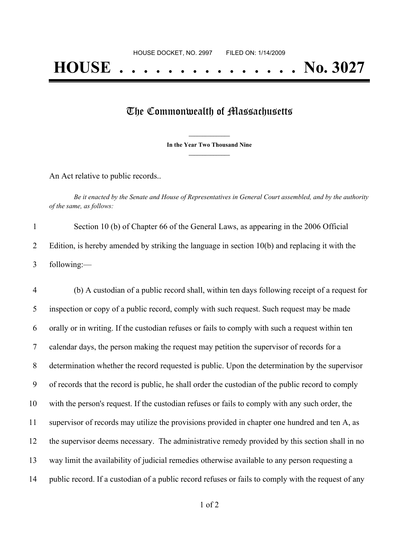## The Commonwealth of Massachusetts

**\_\_\_\_\_\_\_\_\_\_\_\_\_\_\_ In the Year Two Thousand Nine \_\_\_\_\_\_\_\_\_\_\_\_\_\_\_**

An Act relative to public records..

Be it enacted by the Senate and House of Representatives in General Court assembled, and by the authority *of the same, as follows:*

| Section 10 (b) of Chapter 66 of the General Laws, as appearing in the 2006 Official              |
|--------------------------------------------------------------------------------------------------|
| Edition, is hereby amended by striking the language in section $10(b)$ and replacing it with the |
| following: $-$                                                                                   |

 (b) A custodian of a public record shall, within ten days following receipt of a request for inspection or copy of a public record, comply with such request. Such request may be made orally or in writing. If the custodian refuses or fails to comply with such a request within ten calendar days, the person making the request may petition the supervisor of records for a determination whether the record requested is public. Upon the determination by the supervisor of records that the record is public, he shall order the custodian of the public record to comply with the person's request. If the custodian refuses or fails to comply with any such order, the supervisor of records may utilize the provisions provided in chapter one hundred and ten A, as the supervisor deems necessary. The administrative remedy provided by this section shall in no way limit the availability of judicial remedies otherwise available to any person requesting a public record. If a custodian of a public record refuses or fails to comply with the request of any